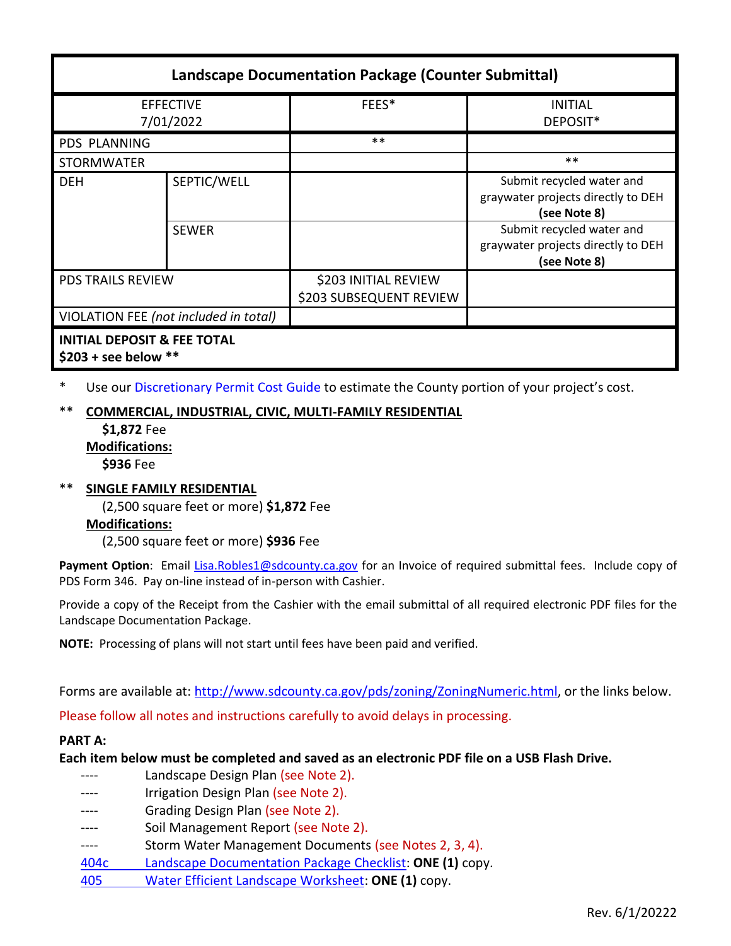| <b>Landscape Documentation Package (Counter Submittal)</b>      |              |                                                 |                                                                                 |
|-----------------------------------------------------------------|--------------|-------------------------------------------------|---------------------------------------------------------------------------------|
| <b>EFFECTIVE</b><br>7/01/2022                                   |              | FEES*                                           | <b>INITIAL</b><br>DEPOSIT*                                                      |
| PDS PLANNING                                                    |              | $***$                                           |                                                                                 |
| <b>STORMWATER</b>                                               |              |                                                 | $***$                                                                           |
| <b>DEH</b>                                                      | SEPTIC/WELL  |                                                 | Submit recycled water and<br>graywater projects directly to DEH<br>(see Note 8) |
|                                                                 | <b>SEWER</b> |                                                 | Submit recycled water and<br>graywater projects directly to DEH<br>(see Note 8) |
| <b>PDS TRAILS REVIEW</b>                                        |              | \$203 INITIAL REVIEW<br>\$203 SUBSEQUENT REVIEW |                                                                                 |
| VIOLATION FEE (not included in total)                           |              |                                                 |                                                                                 |
| <b>INITIAL DEPOSIT &amp; FEE TOTAL</b><br>$$203 + see below **$ |              |                                                 |                                                                                 |

\* Use ou[r Discretionary Permit Cost Guide](http://www.sandiegocounty.gov/content/dam/sdc/pds/docs/Discretionary_Permit_Cost_Guide.xlsx) to estimate the County portion of your project's cost.

# \*\* **COMMERCIAL, INDUSTRIAL, CIVIC, MULTI-FAMILY RESIDENTIAL**

**\$1,872** Fee **Modifications:**

**\$936** Fee

\*\* **SINGLE FAMILY RESIDENTIAL** (2,500 square feet or more) **\$1,872** Fee **Modifications:**

(2,500 square feet or more) **\$936** Fee

Payment Option: Email [Lisa.Robles1@sdcounty.ca.gov](mailto:Lisa.Robles1@sdcounty.ca.gov) for an Invoice of required submittal fees. Include copy of PDS Form 346. Pay on-line instead of in-person with Cashier.

Provide a copy of the Receipt from the Cashier with the email submittal of all required electronic PDF files for the Landscape Documentation Package.

**NOTE:** Processing of plans will not start until fees have been paid and verified.

Forms are available at[: http://www.sdcounty.ca.gov/pds/zoning/ZoningNumeric.html,](http://www.sdcounty.ca.gov/pds/zoning/ZoningNumeric.html) or the links below.

Please follow all notes and instructions carefully to avoid delays in processing.

#### **PART A:**

**Each item below must be completed and saved as an electronic PDF file on a USB Flash Drive.**

---- Landscape Design Plan (see Note 2). ---- Irrigation Design Plan (see Note 2). ---- Grading Design Plan (see Note 2). ---- Soil Management Report (see Note 2). ---- Storm Water Management Documents (see Notes 2, 3, 4). 404c [Landscape Documentation Package Checklist:](https://www.sandiegocounty.gov/pds/zoning/formfields/PDS-PLN-404c.pdf) **ONE (1)** copy. 405 [Water Efficient Landscape Worksheet:](https://www.sandiegocounty.gov/content/dam/sdc/pds/zoning/formfields/PDS-PLN-405.pdf) **ONE (1)** copy.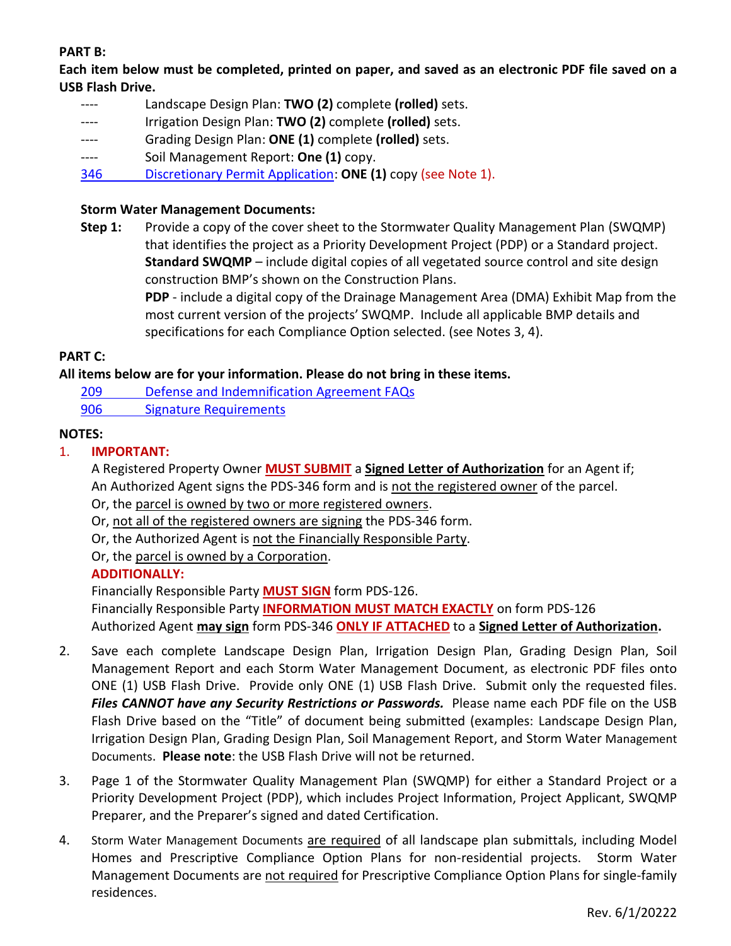# **PART B:**

**Each item below must be completed, printed on paper, and saved as an electronic PDF file saved on a USB Flash Drive.**

- ---- Landscape Design Plan: **TWO (2)** complete **(rolled)** sets.
- ---- Irrigation Design Plan: **TWO (2)** complete **(rolled)** sets.
- ---- Grading Design Plan: **ONE (1)** complete **(rolled)** sets.
- ---- Soil Management Report: **One (1)** copy.
- 346 [Discretionary Permit Application:](https://www.sandiegocounty.gov/content/dam/sdc/pds/zoning/formfields/PDS-PLN-346.pdf) **ONE (1)** copy (see Note 1).

## **Storm Water Management Documents:**

**Step 1:** Provide a copy of the cover sheet to the Stormwater Quality Management Plan (SWQMP) that identifies the project as a Priority Development Project (PDP) or a Standard project. **Standard SWQMP** – include digital copies of all vegetated source control and site design construction BMP's shown on the Construction Plans.

> **PDP** - include a digital copy of the Drainage Management Area (DMA) Exhibit Map from the most current version of the projects' SWQMP. Include all applicable BMP details and specifications for each Compliance Option selected. (see Notes 3, 4).

## **PART C:**

## **All items below are for your information. Please do not bring in these items.**

- 209 [Defense and Indemnification](https://www.sandiegocounty.gov/content/dam/sdc/pds/zoning/formfields/PDS-PLN-209.pdf) Agreement FAQs
- [906 Signature Requirements](https://www.sandiegocounty.gov/content/dam/sdc/pds/zoning/formfields/PDS-PLN-906.pdf)

## **NOTES:**

## 1. **IMPORTANT:**

A Registered Property Owner **MUST SUBMIT** a **Signed Letter of Authorization** for an Agent if; An Authorized Agent signs the PDS-346 form and is not the registered owner of the parcel.

- Or, the parcel is owned by two or more registered owners.
- Or, not all of the registered owners are signing the PDS-346 form.
- Or, the Authorized Agent is not the Financially Responsible Party.

Or, the parcel is owned by a Corporation.

#### **ADDITIONALLY:**

Financially Responsible Party **MUST SIGN** form PDS-126.

Financially Responsible Party **INFORMATION MUST MATCH EXACTLY** on form PDS-126

Authorized Agent **may sign** form PDS-346 **ONLY IF ATTACHED** to a **Signed Letter of Authorization.**

- 2. Save each complete Landscape Design Plan, Irrigation Design Plan, Grading Design Plan, Soil Management Report and each Storm Water Management Document, as electronic PDF files onto ONE (1) USB Flash Drive. Provide only ONE (1) USB Flash Drive. Submit only the requested files. *Files CANNOT have any Security Restrictions or Passwords.* Please name each PDF file on the USB Flash Drive based on the "Title" of document being submitted (examples: Landscape Design Plan, Irrigation Design Plan, Grading Design Plan, Soil Management Report, and Storm Water Management Documents. **Please note**: the USB Flash Drive will not be returned.
- 3. Page 1 of the Stormwater Quality Management Plan (SWQMP) for either a Standard Project or a Priority Development Project (PDP), which includes Project Information, Project Applicant, SWQMP Preparer, and the Preparer's signed and dated Certification.
- 4. Storm Water Management Documents are required of all landscape plan submittals, including Model Homes and Prescriptive Compliance Option Plans for non-residential projects. Storm Water Management Documents are not required for Prescriptive Compliance Option Plans for single-family residences.